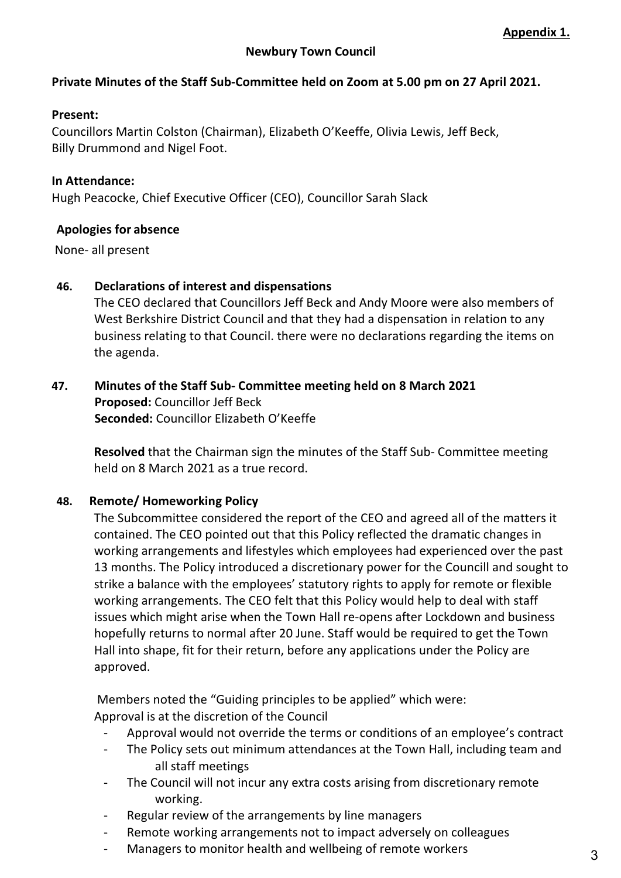## **Private Minutes of the Staff Sub-Committee held on Zoom at 5.00 pm on 27 April 2021.**

#### **Present:**

Councillors Martin Colston (Chairman), Elizabeth O'Keeffe, Olivia Lewis, Jeff Beck, Billy Drummond and Nigel Foot.

#### **In Attendance:**

Hugh Peacocke, Chief Executive Officer (CEO), Councillor Sarah Slack

#### **Apologies for absence**

None- all present

#### **46. Declarations of interest and dispensations**

The CEO declared that Councillors Jeff Beck and Andy Moore were also members of West Berkshire District Council and that they had a dispensation in relation to any business relating to that Council. there were no declarations regarding the items on the agenda.

### **47. Minutes of the Staff Sub- Committee meeting held on 8 March 2021 Proposed:** Councillor Jeff Beck  **Seconded:** Councillor Elizabeth O'Keeffe

**Resolved** that the Chairman sign the minutes of the Staff Sub- Committee meeting held on 8 March 2021 as a true record.

#### **48. Remote/ Homeworking Policy**

The Subcommittee considered the report of the CEO and agreed all of the matters it contained. The CEO pointed out that this Policy reflected the dramatic changes in working arrangements and lifestyles which employees had experienced over the past 13 months. The Policy introduced a discretionary power for the Councill and sought to strike a balance with the employees' statutory rights to apply for remote or flexible working arrangements. The CEO felt that this Policy would help to deal with staff issues which might arise when the Town Hall re-opens after Lockdown and business hopefully returns to normal after 20 June. Staff would be required to get the Town Hall into shape, fit for their return, before any applications under the Policy are approved.

Members noted the "Guiding principles to be applied" which were: Approval is at the discretion of the Council

- Approval would not override the terms or conditions of an employee's contract
- The Policy sets out minimum attendances at the Town Hall, including team and all staff meetings
- The Council will not incur any extra costs arising from discretionary remote working.
- Regular review of the arrangements by line managers
- Remote working arrangements not to impact adversely on colleagues
- Managers to monitor health and wellbeing of remote workers